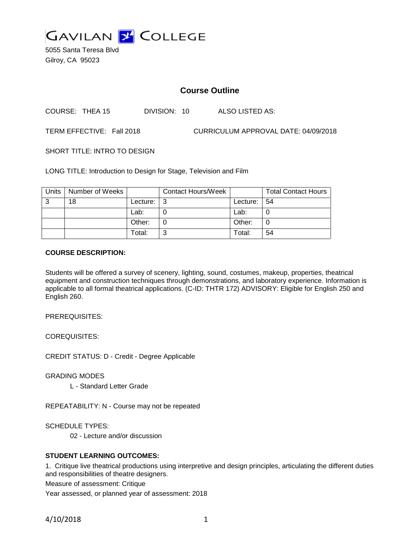

5055 Santa Teresa Blvd Gilroy, CA 95023

# **Course Outline**

COURSE: THEA 15 DIVISION: 10 ALSO LISTED AS:

TERM EFFECTIVE: Fall 2018 CURRICULUM APPROVAL DATE: 04/09/2018

SHORT TITLE: INTRO TO DESIGN

LONG TITLE: Introduction to Design for Stage, Television and Film

| Units | Number of Weeks |               | <b>Contact Hours/Week</b> |             | <b>Total Contact Hours</b> |
|-------|-----------------|---------------|---------------------------|-------------|----------------------------|
| 3     | 18              | Lecture: $ 3$ |                           | Lecture: 54 |                            |
|       |                 | Lab:          |                           | Lab:        |                            |
|       |                 | Other:        |                           | Other:      |                            |
|       |                 | Total:        | ⌒                         | Total:      | 54                         |

#### **COURSE DESCRIPTION:**

Students will be offered a survey of scenery, lighting, sound, costumes, makeup, properties, theatrical equipment and construction techniques through demonstrations, and laboratory experience. Information is applicable to all formal theatrical applications. (C-ID: THTR 172) ADVISORY: Eligible for English 250 and English 260.

PREREQUISITES:

COREQUISITES:

CREDIT STATUS: D - Credit - Degree Applicable

GRADING MODES

L - Standard Letter Grade

REPEATABILITY: N - Course may not be repeated

SCHEDULE TYPES:

02 - Lecture and/or discussion

## **STUDENT LEARNING OUTCOMES:**

1. Critique live theatrical productions using interpretive and design principles, articulating the different duties and responsibilities of theatre designers.

Measure of assessment: Critique

Year assessed, or planned year of assessment: 2018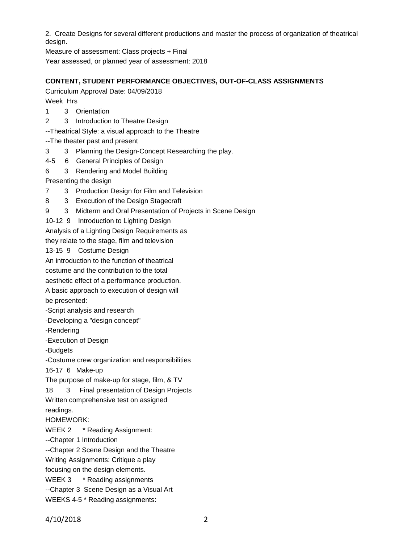2. Create Designs for several different productions and master the process of organization of theatrical design.

Measure of assessment: Class projects + Final

Year assessed, or planned year of assessment: 2018

# **CONTENT, STUDENT PERFORMANCE OBJECTIVES, OUT-OF-CLASS ASSIGNMENTS**

Curriculum Approval Date: 04/09/2018 Week Hrs

- 1 3 Orientation
- 2 3 Introduction to Theatre Design

--Theatrical Style: a visual approach to the Theatre

--The theater past and present

- 3 3 Planning the Design-Concept Researching the play.
- 4-5 6 General Principles of Design
- 6 3 Rendering and Model Building

Presenting the design

- 7 3 Production Design for Film and Television
- 8 3 Execution of the Design Stagecraft
- 9 3 Midterm and Oral Presentation of Projects in Scene Design
- 10-12 9 Introduction to Lighting Design

Analysis of a Lighting Design Requirements as

they relate to the stage, film and television

13-15 9 Costume Design

An introduction to the function of theatrical

costume and the contribution to the total

aesthetic effect of a performance production.

A basic approach to execution of design will

be presented:

-Script analysis and research

-Developing a "design concept"

-Rendering

-Execution of Design

-Budgets

-Costume crew organization and responsibilities

16-17 6 Make-up

The purpose of make-up for stage, film, & TV

18 3 Final presentation of Design Projects

Written comprehensive test on assigned

readings.

HOMEWORK:

WEEK 2 \* Reading Assignment:

--Chapter 1 Introduction

--Chapter 2 Scene Design and the Theatre

Writing Assignments: Critique a play

focusing on the design elements.

WEEK 3 \* Reading assignments

--Chapter 3 Scene Design as a Visual Art

WEEKS 4-5 \* Reading assignments: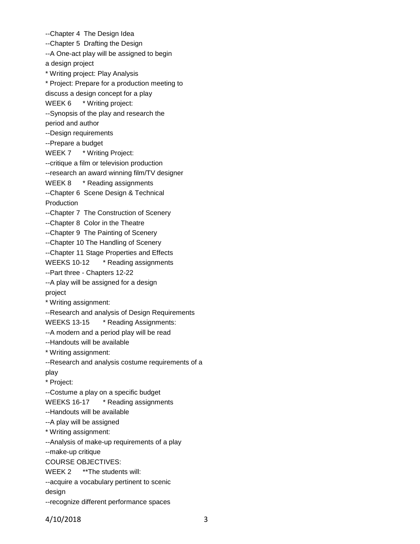--Chapter 4 The Design Idea --Chapter 5 Drafting the Design --A One-act play will be assigned to begin a design project \* Writing project: Play Analysis \* Project: Prepare for a production meeting to discuss a design concept for a play WEEK 6 \* Writing project: --Synopsis of the play and research the period and author --Design requirements --Prepare a budget WEEK 7 \* Writing Project: --critique a film or television production --research an award winning film/TV designer WEEK 8 \* Reading assignments --Chapter 6 Scene Design & Technical Production --Chapter 7 The Construction of Scenery --Chapter 8 Color in the Theatre --Chapter 9 The Painting of Scenery --Chapter 10 The Handling of Scenery --Chapter 11 Stage Properties and Effects WEEKS 10-12 \* Reading assignments --Part three - Chapters 12-22 --A play will be assigned for a design project \* Writing assignment: --Research and analysis of Design Requirements WEEKS 13-15 \* Reading Assignments: --A modern and a period play will be read --Handouts will be available \* Writing assignment: --Research and analysis costume requirements of a play \* Project: --Costume a play on a specific budget WEEKS 16-17 \* Reading assignments --Handouts will be available --A play will be assigned \* Writing assignment: --Analysis of make-up requirements of a play --make-up critique COURSE OBJECTIVES: WEEK 2 \*\* The students will: --acquire a vocabulary pertinent to scenic design --recognize different performance spaces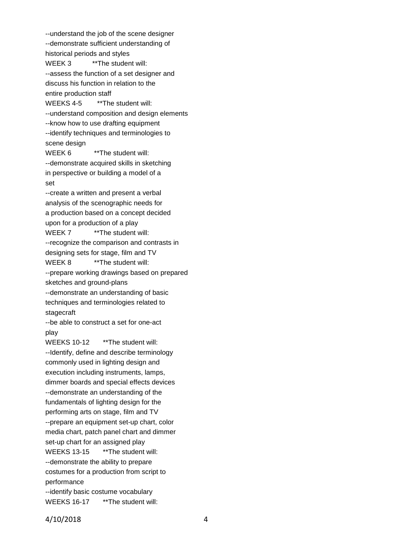--understand the job of the scene designer --demonstrate sufficient understanding of historical periods and styles WEEK 3 \*\* The student will: --assess the function of a set designer and discuss his function in relation to the entire production staff WEEKS 4-5 \*\* The student will: --understand composition and design elements --know how to use drafting equipment --identify techniques and terminologies to scene design WEEK 6 \*\*\* The student will: --demonstrate acquired skills in sketching in perspective or building a model of a set --create a written and present a verbal analysis of the scenographic needs for a production based on a concept decided upon for a production of a play WEEK 7 \*\* The student will: --recognize the comparison and contrasts in designing sets for stage, film and TV WEEK 8 \*\* The student will: --prepare working drawings based on prepared sketches and ground-plans --demonstrate an understanding of basic techniques and terminologies related to stagecraft --be able to construct a set for one-act play WEEKS 10-12 \*\* The student will: --Identify, define and describe terminology commonly used in lighting design and execution including instruments, lamps, dimmer boards and special effects devices --demonstrate an understanding of the fundamentals of lighting design for the performing arts on stage, film and TV --prepare an equipment set-up chart, color media chart, patch panel chart and dimmer set-up chart for an assigned play WEEKS 13-15 \*\* The student will: --demonstrate the ability to prepare costumes for a production from script to performance --identify basic costume vocabulary WEEKS 16-17 \*\* The student will: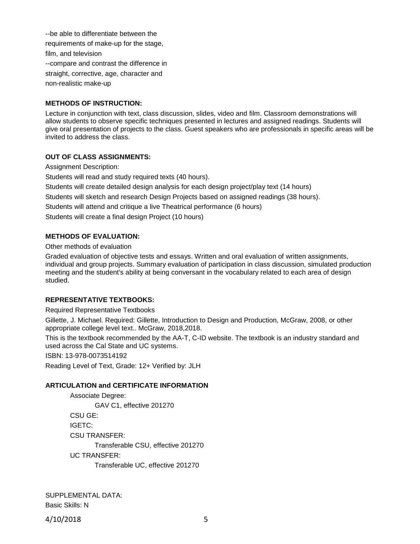--be able to differentiate between the requirements of make-up for the stage, film, and television --compare and contrast the difference in straight, corrective, age, character and non-realistic make-up

## **METHODS OF INSTRUCTION:**

Lecture in conjunction with text, class discussion, slides, video and film. Classroom demonstrations will allow students to observe specific techniques presented in lectures and assigned readings. Students will give oral presentation of projects to the class. Guest speakers who are professionals in specific areas will be invited to address the class.

## **OUT OF CLASS ASSIGNMENTS:**

Assignment Description: Students will read and study required texts (40 hours). Students will create detailed design analysis for each design project/play text (14 hours) Students will sketch and research Design Projects based on assigned readings (38 hours). Students will attend and critique a live Theatrical performance (6 hours) Students will create a final design Project (10 hours)

## **METHODS OF EVALUATION:**

Other methods of evaluation

Graded evaluation of objective tests and essays. Written and oral evaluation of written assignments, individual and group projects. Summary evaluation of participation in class discussion, simulated production meeting and the student's ability at being conversant in the vocabulary related to each area of design studied.

#### **REPRESENTATIVE TEXTBOOKS:**

Required Representative Textbooks

Gillette, J. Michael. Required: Gillette, Introduction to Design and Production, McGraw, 2008, or other appropriate college level text.. McGraw, 2018,2018.

This is the textbook recommended by the AA-T, C-ID website. The textbook is an industry standard and used across the Cal State and UC systems.

ISBN: 13-978-0073514192

Reading Level of Text, Grade: 12+ Verified by: JLH

## **ARTICULATION and CERTIFICATE INFORMATION**

Associate Degree: GAV C1, effective 201270 CSU GE: IGETC: CSU TRANSFER: Transferable CSU, effective 201270 UC TRANSFER: Transferable UC, effective 201270

SUPPLEMENTAL DATA: Basic Skills: N